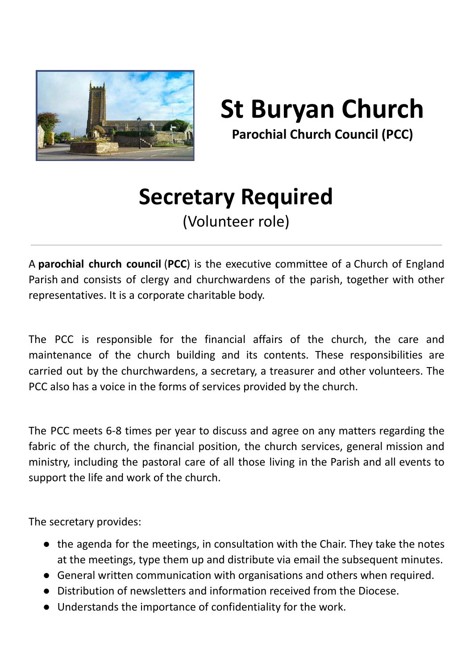

**St Buryan Church**

**Parochial Church Council (PCC)**

## **Secretary Required**

(Volunteer role)

A **parochial church council** (**PCC**) is the executive committee of a Church of England Parish and consists of clergy and churchwardens of the parish, together with other representatives. It is a corporate charitable body.

The PCC is responsible for the financial affairs of the church, the care and maintenance of the church building and its contents. These responsibilities are carried out by the churchwardens, a secretary, a treasurer and other volunteers. The PCC also has a voice in the forms of services provided by the church.

The PCC meets 6-8 times per year to discuss and agree on any matters regarding the fabric of the church, the financial position, the church services, general mission and ministry, including the pastoral care of all those living in the Parish and all events to support the life and work of the church.

The secretary provides:

- the agenda for the meetings, in consultation with the Chair. They take the notes at the meetings, type them up and distribute via email the subsequent minutes.
- General written communication with organisations and others when required.
- Distribution of newsletters and information received from the Diocese.
- Understands the importance of confidentiality for the work.